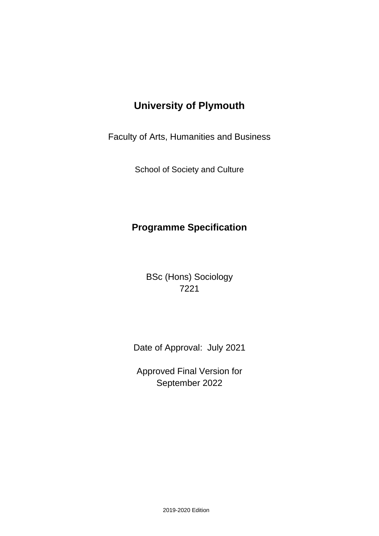# **University of Plymouth**

Faculty of Arts, Humanities and Business

School of Society and Culture

## **Programme Specification**

BSc (Hons) Sociology 7221

Date of Approval: July 2021

Approved Final Version for September 2022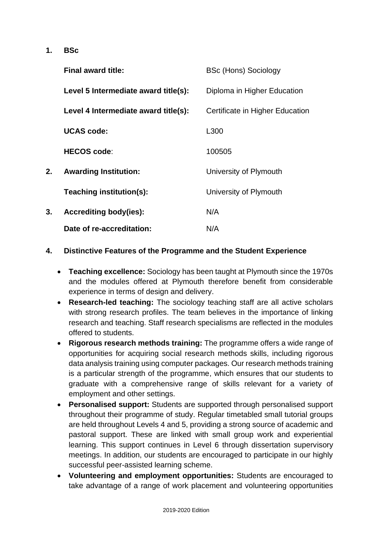**1. BSc**

|    | <b>Final award title:</b>            | <b>BSc (Hons) Sociology</b>     |
|----|--------------------------------------|---------------------------------|
|    | Level 5 Intermediate award title(s): | Diploma in Higher Education     |
|    | Level 4 Intermediate award title(s): | Certificate in Higher Education |
|    | <b>UCAS code:</b>                    | L300                            |
|    | <b>HECOS code:</b>                   | 100505                          |
| 2. | <b>Awarding Institution:</b>         | University of Plymouth          |
|    | Teaching institution(s):             | University of Plymouth          |
| 3. | <b>Accrediting body(ies):</b>        | N/A                             |
|    | Date of re-accreditation:            | N/A                             |

#### **4. Distinctive Features of the Programme and the Student Experience**

- **Teaching excellence:** Sociology has been taught at Plymouth since the 1970s and the modules offered at Plymouth therefore benefit from considerable experience in terms of design and delivery.
- **Research-led teaching:** The sociology teaching staff are all active scholars with strong research profiles. The team believes in the importance of linking research and teaching. Staff research specialisms are reflected in the modules offered to students.
- **Rigorous research methods training:** The programme offers a wide range of opportunities for acquiring social research methods skills, including rigorous data analysis training using computer packages. Our research methods training is a particular strength of the programme, which ensures that our students to graduate with a comprehensive range of skills relevant for a variety of employment and other settings.
- **Personalised support:** Students are supported through personalised support throughout their programme of study. Regular timetabled small tutorial groups are held throughout Levels 4 and 5, providing a strong source of academic and pastoral support. These are linked with small group work and experiential learning. This support continues in Level 6 through dissertation supervisory meetings. In addition, our students are encouraged to participate in our highly successful peer-assisted learning scheme.
- **Volunteering and employment opportunities:** Students are encouraged to take advantage of a range of work placement and volunteering opportunities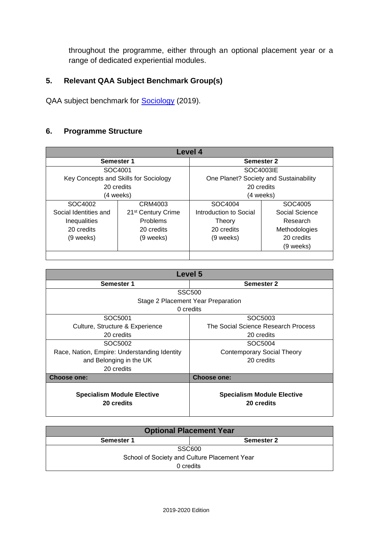throughout the programme, either through an optional placement year or a range of dedicated experiential modules.

### **5. Relevant QAA Subject Benchmark Group(s)**

QAA subject benchmark for **Sociology** (2019).

#### **6. Programme Structure**

|                       |                                       | Level 4                                |                |  |  |  |  |  |  |  |  |
|-----------------------|---------------------------------------|----------------------------------------|----------------|--|--|--|--|--|--|--|--|
| Semester 1            |                                       | Semester 2                             |                |  |  |  |  |  |  |  |  |
| SOC4001               |                                       | SOC4003IE                              |                |  |  |  |  |  |  |  |  |
|                       | Key Concepts and Skills for Sociology | One Planet? Society and Sustainability |                |  |  |  |  |  |  |  |  |
| 20 credits            |                                       | 20 credits                             |                |  |  |  |  |  |  |  |  |
|                       | (4 weeks)                             | (4 weeks)                              |                |  |  |  |  |  |  |  |  |
| SOC4002               | CRM4003                               | SOC4004                                | SOC4005        |  |  |  |  |  |  |  |  |
| Social Identities and | 21 <sup>st</sup> Century Crime        | Introduction to Social                 | Social Science |  |  |  |  |  |  |  |  |
| Inequalities          | <b>Problems</b>                       | Theory                                 | Research       |  |  |  |  |  |  |  |  |
| 20 credits            | 20 credits                            | 20 credits                             | Methodologies  |  |  |  |  |  |  |  |  |
| (9 weeks)             | (9 weeks)                             | (9 weeks)                              | 20 credits     |  |  |  |  |  |  |  |  |
|                       |                                       |                                        | (9 weeks)      |  |  |  |  |  |  |  |  |
|                       |                                       |                                        |                |  |  |  |  |  |  |  |  |

|                                                 | Level 5                                         |
|-------------------------------------------------|-------------------------------------------------|
| <b>Semester 1</b>                               | <b>Semester 2</b>                               |
|                                                 | <b>SSC500</b>                                   |
|                                                 | Stage 2 Placement Year Preparation              |
|                                                 | 0 credits                                       |
| SOC5001                                         | SOC5003                                         |
| Culture, Structure & Experience                 | The Social Science Research Process             |
| 20 credits                                      | 20 credits                                      |
| SOC5002                                         | SOC5004                                         |
| Race, Nation, Empire: Understanding Identity    | <b>Contemporary Social Theory</b>               |
| and Belonging in the UK                         | 20 credits                                      |
| 20 credits                                      |                                                 |
| <b>Choose one:</b>                              | Choose one:                                     |
| <b>Specialism Module Elective</b><br>20 credits | <b>Specialism Module Elective</b><br>20 credits |

| <b>Optional Placement Year</b>               |                   |  |  |  |  |  |  |  |  |  |
|----------------------------------------------|-------------------|--|--|--|--|--|--|--|--|--|
| Semester 1                                   | <b>Semester 2</b> |  |  |  |  |  |  |  |  |  |
|                                              | <b>SSC600</b>     |  |  |  |  |  |  |  |  |  |
| School of Society and Culture Placement Year |                   |  |  |  |  |  |  |  |  |  |
| 0 credits                                    |                   |  |  |  |  |  |  |  |  |  |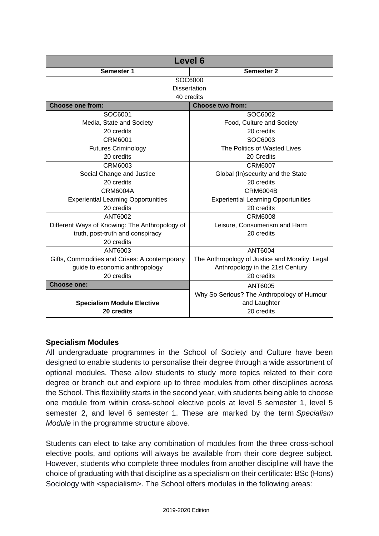|                                                | <b>Level 6</b>                                  |  |  |  |  |  |  |  |  |  |  |
|------------------------------------------------|-------------------------------------------------|--|--|--|--|--|--|--|--|--|--|
| Semester 1                                     | <b>Semester 2</b>                               |  |  |  |  |  |  |  |  |  |  |
|                                                | SOC6000                                         |  |  |  |  |  |  |  |  |  |  |
|                                                | <b>Dissertation</b>                             |  |  |  |  |  |  |  |  |  |  |
|                                                | 40 credits                                      |  |  |  |  |  |  |  |  |  |  |
| <b>Choose one from:</b>                        | <b>Choose two from:</b>                         |  |  |  |  |  |  |  |  |  |  |
| SOC6001                                        | SOC6002                                         |  |  |  |  |  |  |  |  |  |  |
| Media, State and Society                       | Food, Culture and Society                       |  |  |  |  |  |  |  |  |  |  |
| 20 credits                                     | 20 credits                                      |  |  |  |  |  |  |  |  |  |  |
| <b>CRM6001</b>                                 | SOC6003                                         |  |  |  |  |  |  |  |  |  |  |
| <b>Futures Criminology</b>                     | The Politics of Wasted Lives                    |  |  |  |  |  |  |  |  |  |  |
| 20 credits                                     | 20 Credits                                      |  |  |  |  |  |  |  |  |  |  |
| CRM6003                                        | <b>CRM6007</b>                                  |  |  |  |  |  |  |  |  |  |  |
| Social Change and Justice                      | Global (In)security and the State               |  |  |  |  |  |  |  |  |  |  |
| 20 credits                                     | 20 credits                                      |  |  |  |  |  |  |  |  |  |  |
| CRM6004A                                       | CRM6004B                                        |  |  |  |  |  |  |  |  |  |  |
| <b>Experiential Learning Opportunities</b>     | <b>Experiential Learning Opportunities</b>      |  |  |  |  |  |  |  |  |  |  |
| 20 credits                                     | 20 credits                                      |  |  |  |  |  |  |  |  |  |  |
| ANT6002                                        | <b>CRM6008</b>                                  |  |  |  |  |  |  |  |  |  |  |
| Different Ways of Knowing: The Anthropology of | Leisure, Consumerism and Harm                   |  |  |  |  |  |  |  |  |  |  |
| truth, post-truth and conspiracy               | 20 credits                                      |  |  |  |  |  |  |  |  |  |  |
| 20 credits                                     |                                                 |  |  |  |  |  |  |  |  |  |  |
| ANT6003                                        | ANT6004                                         |  |  |  |  |  |  |  |  |  |  |
| Gifts, Commodities and Crises: A contemporary  | The Anthropology of Justice and Morality: Legal |  |  |  |  |  |  |  |  |  |  |
| guide to economic anthropology                 | Anthropology in the 21st Century                |  |  |  |  |  |  |  |  |  |  |
| 20 credits                                     | 20 credits                                      |  |  |  |  |  |  |  |  |  |  |
| <b>Choose one:</b>                             | ANT6005                                         |  |  |  |  |  |  |  |  |  |  |
|                                                | Why So Serious? The Anthropology of Humour      |  |  |  |  |  |  |  |  |  |  |
| <b>Specialism Module Elective</b>              | and Laughter                                    |  |  |  |  |  |  |  |  |  |  |
| 20 credits                                     | 20 credits                                      |  |  |  |  |  |  |  |  |  |  |

#### **Specialism Modules**

All undergraduate programmes in the School of Society and Culture have been designed to enable students to personalise their degree through a wide assortment of optional modules. These allow students to study more topics related to their core degree or branch out and explore up to three modules from other disciplines across the School. This flexibility starts in the second year, with students being able to choose one module from within cross-school elective pools at level 5 semester 1, level 5 semester 2, and level 6 semester 1. These are marked by the term *Specialism Module* in the programme structure above.

Students can elect to take any combination of modules from the three cross-school elective pools, and options will always be available from their core degree subject. However, students who complete three modules from another discipline will have the choice of graduating with that discipline as a specialism on their certificate: BSc (Hons) Sociology with <specialism>. The School offers modules in the following areas: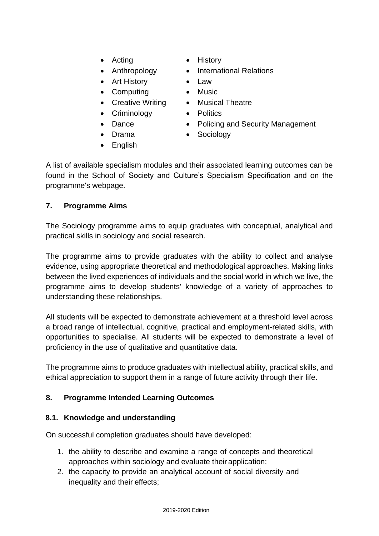- 
- 
- Art History Law
- Computing Music
- Creative Writing Musical Theatre
- Criminology Politics
- 
- 
- Acting History
- Anthropology International Relations
	-
	-
	-
	-
- Dance Policing and Security Management
- Drama Sociology
- English
- 

A list of available specialism modules and their associated learning outcomes can be found in the School of Society and Culture's Specialism Specification and on the programme's webpage.

### **7. Programme Aims**

The Sociology programme aims to equip graduates with conceptual, analytical and practical skills in sociology and social research.

The programme aims to provide graduates with the ability to collect and analyse evidence, using appropriate theoretical and methodological approaches. Making links between the lived experiences of individuals and the social world in which we live, the programme aims to develop students' knowledge of a variety of approaches to understanding these relationships.

All students will be expected to demonstrate achievement at a threshold level across a broad range of intellectual, cognitive, practical and employment-related skills, with opportunities to specialise. All students will be expected to demonstrate a level of proficiency in the use of qualitative and quantitative data.

The programme aims to produce graduates with intellectual ability, practical skills, and ethical appreciation to support them in a range of future activity through their life.

## **8. Programme Intended Learning Outcomes**

#### **8.1. Knowledge and understanding**

On successful completion graduates should have developed:

- 1. the ability to describe and examine a range of concepts and theoretical approaches within sociology and evaluate their application;
- 2. the capacity to provide an analytical account of social diversity and inequality and their effects;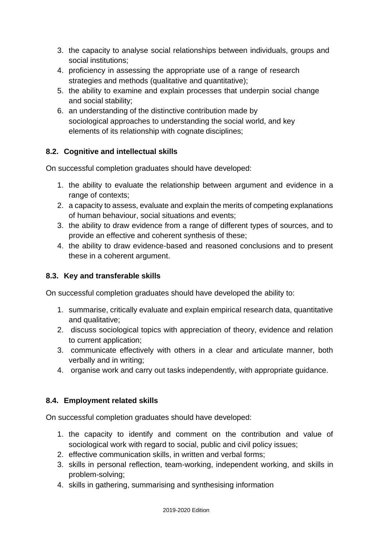- 3. the capacity to analyse social relationships between individuals, groups and social institutions;
- 4. proficiency in assessing the appropriate use of a range of research strategies and methods (qualitative and quantitative);
- 5. the ability to examine and explain processes that underpin social change and social stability;
- 6. an understanding of the distinctive contribution made by sociological approaches to understanding the social world, and key elements of its relationship with cognate disciplines;

## **8.2. Cognitive and intellectual skills**

On successful completion graduates should have developed:

- 1. the ability to evaluate the relationship between argument and evidence in a range of contexts;
- 2. a capacity to assess, evaluate and explain the merits of competing explanations of human behaviour, social situations and events;
- 3. the ability to draw evidence from a range of different types of sources, and to provide an effective and coherent synthesis of these;
- 4. the ability to draw evidence-based and reasoned conclusions and to present these in a coherent argument.

## **8.3. Key and transferable skills**

On successful completion graduates should have developed the ability to:

- 1. summarise, critically evaluate and explain empirical research data, quantitative and qualitative;
- 2. discuss sociological topics with appreciation of theory, evidence and relation to current application;
- 3. communicate effectively with others in a clear and articulate manner, both verbally and in writing;
- 4. organise work and carry out tasks independently, with appropriate guidance.

#### **8.4. Employment related skills**

On successful completion graduates should have developed:

- 1. the capacity to identify and comment on the contribution and value of sociological work with regard to social, public and civil policy issues;
- 2. effective communication skills, in written and verbal forms;
- 3. skills in personal reflection, team-working, independent working, and skills in problem-solving;
- 4. skills in gathering, summarising and synthesising information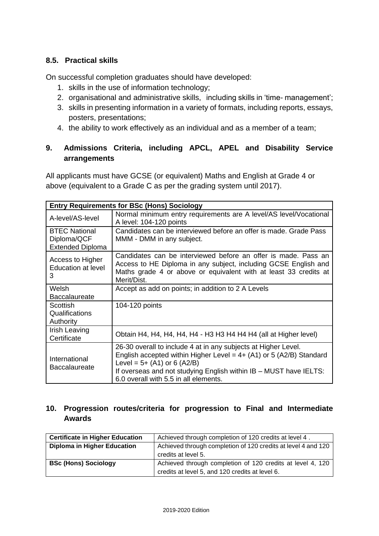#### **8.5. Practical skills**

On successful completion graduates should have developed:

- 1. skills in the use of information technology;
- 2. organisational and administrative skills, including skills in 'time- management';
- 3. skills in presenting information in a variety of formats, including reports, essays, posters, presentations;
- 4. the ability to work effectively as an individual and as a member of a team;

#### **9. Admissions Criteria, including APCL, APEL and Disability Service arrangements**

All applicants must have GCSE (or equivalent) Maths and English at Grade 4 or above (equivalent to a Grade C as per the grading system until 2017).

| <b>Entry Requirements for BSc (Hons) Sociology</b>             |                                                                                                                                                                                                                                                                                        |  |  |  |  |  |  |  |  |  |  |
|----------------------------------------------------------------|----------------------------------------------------------------------------------------------------------------------------------------------------------------------------------------------------------------------------------------------------------------------------------------|--|--|--|--|--|--|--|--|--|--|
| A-level/AS-level                                               | Normal minimum entry requirements are A level/AS level/Vocational<br>A level: 104-120 points                                                                                                                                                                                           |  |  |  |  |  |  |  |  |  |  |
| <b>BTEC National</b><br>Diploma/QCF<br><b>Extended Diploma</b> | Candidates can be interviewed before an offer is made. Grade Pass<br>MMM - DMM in any subject.                                                                                                                                                                                         |  |  |  |  |  |  |  |  |  |  |
| Access to Higher<br><b>Education at level</b><br>3             | Candidates can be interviewed before an offer is made. Pass an<br>Access to HE Diploma in any subject, including GCSE English and<br>Maths grade 4 or above or equivalent with at least 33 credits at<br>Merit/Dist.                                                                   |  |  |  |  |  |  |  |  |  |  |
| Welsh<br><b>Baccalaureate</b>                                  | Accept as add on points; in addition to 2 A Levels                                                                                                                                                                                                                                     |  |  |  |  |  |  |  |  |  |  |
| Scottish<br>Qualifications<br>Authority                        | 104-120 points                                                                                                                                                                                                                                                                         |  |  |  |  |  |  |  |  |  |  |
| Irish Leaving<br>Certificate                                   | Obtain H4, H4, H4, H4, H4 - H3 H3 H4 H4 H4 (all at Higher level)                                                                                                                                                                                                                       |  |  |  |  |  |  |  |  |  |  |
| International<br><b>Baccalaureate</b>                          | 26-30 overall to include 4 at in any subjects at Higher Level.<br>English accepted within Higher Level = $4+$ (A1) or 5 (A2/B) Standard<br>Level = $5+ (A1)$ or 6 (A2/B)<br>If overseas and not studying English within IB - MUST have IELTS:<br>6.0 overall with 5.5 in all elements. |  |  |  |  |  |  |  |  |  |  |

#### **10. Progression routes/criteria for progression to Final and Intermediate Awards**

| <b>Certificate in Higher Education</b> | Achieved through completion of 120 credits at level 4.        |
|----------------------------------------|---------------------------------------------------------------|
| <b>Diploma in Higher Education</b>     | Achieved through completion of 120 credits at level 4 and 120 |
|                                        | credits at level 5.                                           |
| <b>BSc (Hons) Sociology</b>            | Achieved through completion of 120 credits at level 4, 120    |
|                                        | credits at level 5, and 120 credits at level 6.               |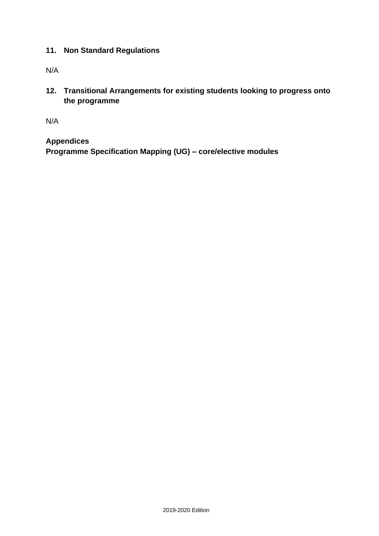#### **11. Non Standard Regulations**

N/A

**12. Transitional Arrangements for existing students looking to progress onto the programme**

N/A

**Appendices Programme Specification Mapping (UG) – core/elective modules**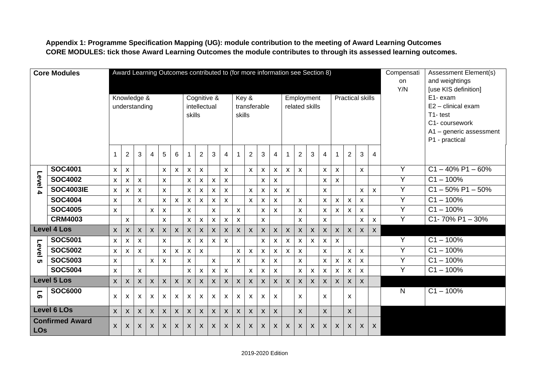**Appendix 1: Programme Specification Mapping (UG): module contribution to the meeting of Award Learning Outcomes CORE MODULES: tick those Award Learning Outcomes the module contributes to through its assessed learning outcomes.** 

| <b>Core Modules</b>                  |                    |                    | Award Learning Outcomes contributed to (for more information see Section 8) |                           |                    |                    |                           |                           |                           |                    |                |                           |                    |                |                           |                    |                           |                      |                           |                           |                    |                           |                           | Compensati | <b>Assessment Element(s)</b> |
|--------------------------------------|--------------------|--------------------|-----------------------------------------------------------------------------|---------------------------|--------------------|--------------------|---------------------------|---------------------------|---------------------------|--------------------|----------------|---------------------------|--------------------|----------------|---------------------------|--------------------|---------------------------|----------------------|---------------------------|---------------------------|--------------------|---------------------------|---------------------------|------------|------------------------------|
|                                      |                    |                    |                                                                             |                           |                    |                    |                           |                           |                           |                    |                | on                        | and weightings     |                |                           |                    |                           |                      |                           |                           |                    |                           |                           |            |                              |
|                                      |                    |                    |                                                                             |                           |                    |                    |                           |                           |                           |                    |                |                           |                    |                |                           |                    | Y/N                       | [use KIS definition] |                           |                           |                    |                           |                           |            |                              |
|                                      |                    |                    | Knowledge &                                                                 |                           |                    |                    |                           |                           | Cognitive &               |                    |                |                           | Key &              |                |                           |                    | Employment                |                      |                           |                           |                    | Practical skills          |                           |            | E1- exam                     |
|                                      |                    |                    | understanding                                                               |                           |                    |                    |                           |                           | intellectual              |                    |                |                           |                    | transferable   |                           |                    | related skills            |                      |                           |                           |                    |                           |                           |            | E2 - clinical exam           |
|                                      |                    |                    |                                                                             |                           |                    |                    |                           | skills                    |                           |                    |                | skills                    |                    |                |                           |                    |                           |                      |                           |                           |                    |                           |                           |            | T1-test                      |
|                                      |                    |                    |                                                                             |                           |                    |                    |                           |                           |                           |                    |                |                           |                    |                |                           |                    |                           |                      |                           |                           |                    |                           |                           |            | C1- coursework               |
|                                      |                    |                    |                                                                             |                           |                    |                    |                           |                           |                           |                    |                |                           |                    |                |                           |                    |                           |                      |                           |                           |                    |                           |                           |            | A1 - generic assessment      |
|                                      |                    |                    |                                                                             |                           |                    |                    |                           |                           |                           |                    |                |                           |                    |                |                           |                    |                           |                      |                           |                           |                    |                           | P1 - practical            |            |                              |
|                                      |                    |                    | $\overline{2}$                                                              | 3                         | 4                  | 5                  | 6                         |                           | $\overline{c}$            | 3                  | 4              | $\overline{1}$            | $\overline{2}$     | 3              | $\overline{4}$            | -1                 | $\overline{2}$            | 3                    | 4                         | 1                         | $\overline{2}$     | 3                         | 4                         |            |                              |
|                                      | <b>SOC4001</b>     | X                  | X                                                                           |                           |                    | X                  | X                         | $\boldsymbol{\mathsf{x}}$ | $\boldsymbol{\mathsf{x}}$ |                    | $\mathsf{x}$   |                           | X                  | X              | X                         | X                  | X                         |                      | X                         | X                         |                    | X                         |                           | Y          | $C1 - 40\%$ P1 - 60%         |
| Level                                | <b>SOC4002</b>     | $\pmb{\mathsf{x}}$ | X                                                                           | $\boldsymbol{\mathsf{x}}$ |                    | $\mathsf{x}$       |                           | $\pmb{\mathsf{X}}$        | $\mathsf{X}$              | $\pmb{\mathsf{X}}$ | $\mathsf{X}$   |                           |                    | X              | $\mathsf{x}$              |                    |                           |                      | $\pmb{\times}$            | $\boldsymbol{\mathsf{x}}$ |                    |                           |                           | Y          | $C1 - 100\%$                 |
| $\Delta$                             | <b>SOC4003IE</b>   | $\mathsf{X}$       | $\boldsymbol{\mathsf{x}}$                                                   | $\boldsymbol{\mathsf{x}}$ |                    | X                  |                           | $\mathsf{X}$              | $\mathsf{X}$              | X                  | $\mathsf{x}$   |                           | X                  | X              | X                         | $\mathsf{x}$       |                           |                      | $\boldsymbol{\mathsf{X}}$ |                           |                    | X                         | $\pmb{\chi}$              | Y          | $C1 - 50\%$ P1 $-50\%$       |
|                                      | <b>SOC4004</b>     | $\mathsf{x}$       |                                                                             | $\boldsymbol{\mathsf{x}}$ |                    | $\pmb{\times}$     | $\mathsf{x}$              | $\mathsf{X}$              | $\mathsf{x}$              | X                  | $\mathsf{x}$   |                           | X                  | X              | X                         |                    | X                         |                      | $\pmb{\times}$            | $\pmb{\mathsf{X}}$        | $\mathsf{x}$       | $\boldsymbol{\mathsf{X}}$ |                           | Y          | $C1 - 100\%$                 |
|                                      | <b>SOC4005</b>     | $\mathsf{x}$       |                                                                             |                           | $\mathsf{x}$       | $\mathsf{x}$       |                           | X                         |                           | $\pmb{\times}$     |                | $\pmb{\mathsf{X}}$        |                    | X              | $\mathsf{x}$              |                    | X                         |                      | $\pmb{\times}$            | $\mathsf{x}$              | X                  | $\mathsf{x}$              |                           | Y          | $C1 - 100\%$                 |
|                                      | <b>CRM4003</b>     |                    | X                                                                           |                           |                    | X                  |                           | $\mathsf{X}$              | $\mathsf{X}$              | $\mathsf{x}$       | $\mathsf{X}$   | $\boldsymbol{\mathsf{X}}$ |                    | $\mathsf{x}$   |                           |                    | X                         |                      | $\mathsf{x}$              |                           |                    | X                         | $\mathsf{x}$              | Y          | $C1 - 70\% P1 - 30\%$        |
|                                      | <b>Level 4 Los</b> | $\pmb{\times}$     | $\pmb{\times}$                                                              | $\mathsf{x}$              | $\pmb{\mathsf{X}}$ | $\pmb{\mathsf{X}}$ | $\pmb{\times}$            | $\mathsf{X}$              | $\boldsymbol{\mathsf{X}}$ | $\mathsf{X}$       | $\mathsf{X}^-$ | $\mathsf{X}$              | $\pmb{\mathsf{X}}$ | $\pmb{\times}$ | $\pmb{\times}$            | $\pmb{\mathsf{X}}$ | $\pmb{\times}$            | $\pmb{\times}$       | $\boldsymbol{\mathsf{X}}$ | $\pmb{\mathsf{X}}$        | $\pmb{\mathsf{X}}$ | X                         | $\pmb{\mathsf{X}}$        |            |                              |
|                                      | <b>SOC5001</b>     | $\mathsf{x}$       | X                                                                           | $\boldsymbol{\mathsf{X}}$ |                    | $\mathsf{x}$       |                           | $\pmb{\mathsf{X}}$        | $\pmb{\mathsf{X}}$        | $\pmb{\mathsf{x}}$ | $\mathsf{x}$   |                           |                    | X              | $\boldsymbol{\mathsf{X}}$ | $\mathsf{x}$       | X                         | $\pmb{\times}$       | $\pmb{\times}$            | $\boldsymbol{\mathsf{X}}$ |                    |                           |                           | Y          | $C1 - 100\%$                 |
| Level                                | <b>SOC5002</b>     | X                  | X                                                                           | $\boldsymbol{\mathsf{x}}$ |                    | X                  | $\mathsf{x}$              | $\boldsymbol{\mathsf{x}}$ | $\mathsf{x}$              |                    |                | $\mathsf{x}$              | X                  | X              | X                         | $\mathsf{x}$       | X                         |                      | X                         |                           | X                  | X                         |                           | Y          | $C1 - 100\%$                 |
| <b>ርክ</b>                            | <b>SOC5003</b>     | $\pmb{\chi}$       |                                                                             |                           | $\mathsf{x}$       | $\mathsf{x}$       |                           | $\mathsf{x}$              |                           | $\mathsf{x}$       |                | $\mathsf{x}$              |                    | $\pmb{\times}$ | $\mathsf{x}$              |                    | $\pmb{\chi}$              |                      | $\mathsf{x}$              | $\mathsf{x}$              | $\mathsf{x}$       | $\mathsf{x}$              |                           | Y          | $C1 - 100%$                  |
|                                      | <b>SOC5004</b>     | X                  |                                                                             | $\boldsymbol{\mathsf{x}}$ |                    |                    |                           | $\mathsf{X}$              | $\mathsf X$               | $\pmb{\mathsf{x}}$ | $\pmb{\chi}$   |                           | $\pmb{\mathsf{X}}$ | X              | $\pmb{\mathsf{X}}$        |                    | X                         | $\pmb{\times}$       | $\pmb{\times}$            | X                         | $\pmb{\times}$     | $\mathsf{x}$              |                           | Y          | $C1 - 100\%$                 |
| <b>Level 5 Los</b>                   |                    | $\mathsf{x}$       | $\pmb{\times}$                                                              | $\pmb{\times}$            | $\pmb{\mathsf{X}}$ | $\mathsf{X}$       | $\boldsymbol{\mathsf{X}}$ | $\mathsf{X}$              | $\boldsymbol{\mathsf{X}}$ | $\mathsf{X}$       | $\mathsf{X}^-$ | $\pmb{\mathsf{X}}$        | $\mathsf{x}$       | $\pmb{\times}$ | $\pmb{\mathsf{X}}$        | $\boldsymbol{X}$   | $\pmb{\times}$            | $\mathsf{X}$         | $\boldsymbol{\mathsf{X}}$ | $\mathsf{X}$              | X                  | $\pmb{\mathsf{X}}$        |                           |            |                              |
| <b>SOC6000</b><br>5                  |                    | $\mathsf{x}$       | X                                                                           | $\boldsymbol{\mathsf{x}}$ | $\mathsf{x}$       | X                  | $\mathsf{x}$              | $\mathsf{x}$              | $\mathsf{X}$              | X                  | $\mathsf{x}$   | $\mathsf{x}$              | $\mathsf{x}$       | X              | $\mathsf{x}$              |                    | X                         |                      | X                         |                           | X                  |                           |                           | N          | $C1 - 100%$                  |
|                                      | <b>Level 6 LOs</b> |                    | X                                                                           | $\boldsymbol{\mathsf{X}}$ | $\mathsf{X}$       | $\mathsf{X}$       | $\boldsymbol{\mathsf{X}}$ | $\boldsymbol{X}$          | $\mathsf{X}$              | $\pmb{\mathsf{X}}$ | $\mathsf{X}$   | $\boldsymbol{\mathsf{X}}$ | X                  | X              | $\boldsymbol{\mathsf{X}}$ |                    | $\boldsymbol{\mathsf{X}}$ |                      | $\mathsf{x}$              |                           | $\mathsf{X}$       |                           |                           |            |                              |
| <b>Confirmed Award</b><br><b>LOs</b> |                    | $\mathsf{x}$       | X                                                                           | X                         | $\mathsf{X}$       | $\pmb{\mathsf{X}}$ | X                         | X                         | X                         | X                  | $\mathsf{X}$   | $\mathsf{X}$              | X                  | X              | $\boldsymbol{X}$          | X                  | X                         | X                    | X                         | $\mathsf{x}$              | X                  | $\mathsf{X}$              | $\boldsymbol{\mathsf{X}}$ |            |                              |